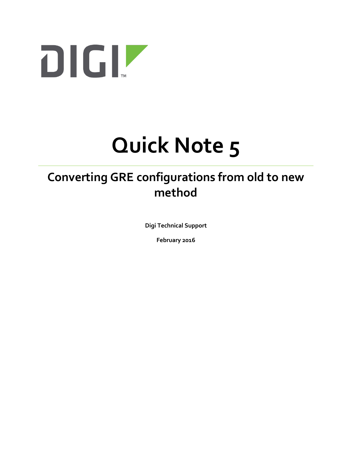

# **Quick Note 5**

# **Converting GRE configurations from old to new method**

**Digi Technical Support**

**February 2016**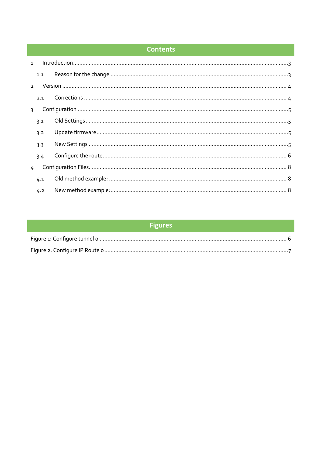# **Contents**

| $\mathbf{1}$  |     |  |
|---------------|-----|--|
|               | 1.1 |  |
| $\mathcal{P}$ |     |  |
|               | 2.1 |  |
| $\mathcal{L}$ |     |  |
|               | 3.1 |  |
|               | 3.2 |  |
|               | 3.3 |  |
|               | 3.4 |  |
| 4             |     |  |
|               | 4.1 |  |
|               | 4.2 |  |

# **Figures**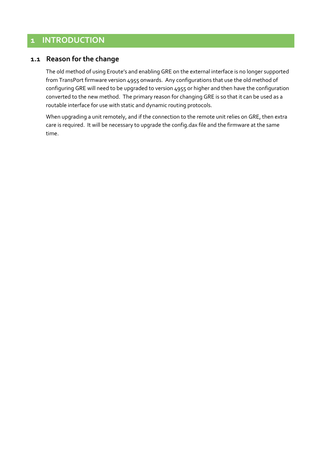# <span id="page-2-0"></span>**1 INTRODUCTION**

#### <span id="page-2-1"></span>**1.1 Reason for the change**

The old method of using Eroute's and enabling GRE on the external interface is no longer supported from TransPort firmware version 4955 onwards. Any configurations that use the old method of configuring GRE will need to be upgraded to version 4955 or higher and then have the configuration converted to the new method. The primary reason for changing GRE is so that it can be used as a routable interface for use with static and dynamic routing protocols.

When upgrading a unit remotely, and if the connection to the remote unit relies on GRE, then extra care is required. It will be necessary to upgrade the config.dax file and the firmware at the same time.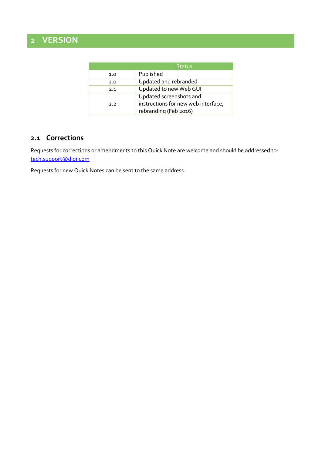# <span id="page-3-0"></span>**2 VERSION**

|     | <b>Status</b>                       |
|-----|-------------------------------------|
| 1.0 | Published                           |
| 2.0 | Updated and rebranded               |
| 2.1 | Updated to new Web GUI              |
|     | Updated screenshots and             |
| 2.2 | instructions for new web interface, |
|     | rebranding (Feb 2016)               |

#### <span id="page-3-1"></span>**2.1 Corrections**

Requests for corrections or amendments to this Quick Note are welcome and should be addressed to: [tech.support@digi.com](mailto:tech.support@digi.com)

Requests for new Quick Notes can be sent to the same address.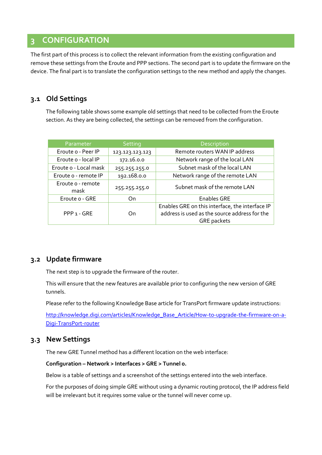# <span id="page-4-0"></span>**3 CONFIGURATION**

The first part of this process is to collect the relevant information from the existing configuration and remove these settings from the Eroute and PPP sections. The second part is to update the firmware on the device. The final part is to translate the configuration settings to the new method and apply the changes.

#### <span id="page-4-1"></span>**3.1 Old Settings**

The following table shows some example old settings that need to be collected from the Eroute section. As they are being collected, the settings can be removed from the configuration.

| Parameter                 | Setting         | Description                                                                                                            |
|---------------------------|-----------------|------------------------------------------------------------------------------------------------------------------------|
| Eroute o - Peer IP        | 123.123.123.123 | Remote routers WAN IP address                                                                                          |
| Eroute o - local IP       | 172.16.0.0      | Network range of the local LAN                                                                                         |
| Eroute o - Local mask     | 255.255.255.0   | Subnet mask of the local LAN                                                                                           |
| Eroute o - remote IP      | 192.168.0.0     | Network range of the remote LAN                                                                                        |
| Eroute o - remote<br>mask | 255.255.255.0   | Subnet mask of the remote LAN                                                                                          |
| Eroute o - GRE            | On              | <b>Enables GRE</b>                                                                                                     |
| PPP 1 - GRE               | On              | Enables GRE on this interface, the interface IP<br>address is used as the source address for the<br><b>GRE</b> packets |

#### <span id="page-4-2"></span>**3.2 Update firmware**

The next step is to upgrade the firmware of the router.

This will ensure that the new features are available prior to configuring the new version of GRE tunnels.

Please refer to the following Knowledge Base article for TransPort firmware update instructions:

[http://knowledge.digi.com/articles/Knowledge\\_Base\\_Article/How-to-upgrade-the-firmware-on-a-](http://knowledge.digi.com/articles/Knowledge_Base_Article/How-to-upgrade-the-firmware-on-a-Digi-TransPort-router)[Digi-TransPort-router](http://knowledge.digi.com/articles/Knowledge_Base_Article/How-to-upgrade-the-firmware-on-a-Digi-TransPort-router)

#### <span id="page-4-3"></span>**3.3 New Settings**

The new GRE Tunnel method has a different location on the web interface:

#### **Configuration – [Network > Interfaces](http://10.1.63.100/base_cfg.asp?HEADER=Configuration%20-%20Interfaces&JS=sub_cfg_interface.js&NID=0) > [GRE](http://10.1.63.100/base_cfg.asp?HEADER=Configuration%20-%20Interfaces&JS=sub_cfg_interface.js&NID=20) > [Tunnel 0.](http://10.1.63.100/tuncfg.asp?context=0)**

Below is a table of settings and a screenshot of the settings entered into the web interface.

For the purposes of doing simple GRE without using a dynamic routing protocol, the IP address field will be irrelevant but it requires some value or the tunnel will never come up.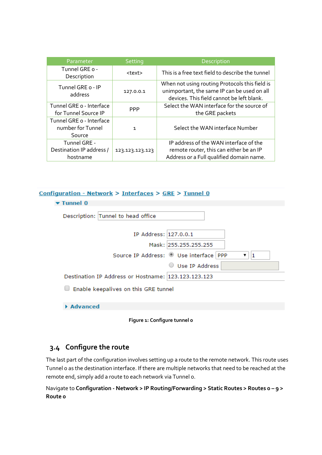| Parameter                                               | Setting         | <b>Description</b>                                                                                                                         |
|---------------------------------------------------------|-----------------|--------------------------------------------------------------------------------------------------------------------------------------------|
| Tunnel GRE o -<br>Description                           | <text></text>   | This is a free text field to describe the tunnel                                                                                           |
| Tunnel GRE o - IP<br>address                            | 127.0.0.1       | When not using routing Protocols this field is<br>unimportant, the same IP can be used on all<br>devices. This field cannot be left blank. |
| Tunnel GRE o - Interface<br>for Tunnel Source IP        | <b>PPP</b>      | Select the WAN interface for the source of<br>the GRE packets                                                                              |
| Tunnel GRE o - Interface<br>number for Tunnel<br>Source | $\mathbf{1}$    | Select the WAN interface Number                                                                                                            |
| Tunnel GRE -<br>Destination IP address /<br>hostname    | 123.123.123.123 | IP address of the WAN interface of the<br>remote router, this can either be an IP<br>Address or a Full qualified domain name.              |

#### Configuration - Network > Interfaces > GRE > Tunnel 0

| Tunnel 0                                            |  |
|-----------------------------------------------------|--|
| Description: Tunnel to head office                  |  |
| IP Address: 127.0.0.1                               |  |
| Mask: 255.255.255.255                               |  |
| Source IP Address: Use interface   PPP              |  |
| Use IP Address                                      |  |
| Destination IP Address or Hostname: 123.123.123.123 |  |
| Enable keepalives on this GRE tunnel                |  |
| Advanced                                            |  |
|                                                     |  |

**Figure 1: Configure tunnel 0**

# <span id="page-5-1"></span><span id="page-5-0"></span>**3.4 Configure the route**

The last part of the configuration involves setting up a route to the remote network. This route uses Tunnel 0 as the destination interface. If there are multiple networks that need to be reached at the remote end, simply add a route to each network via Tunnel 0.

Navigate to **Configuration - Network > IP Routing/Forwarding > Static Routes > Routes 0 – 9 > Route 0**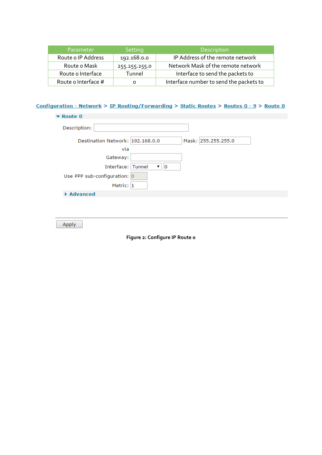| Parameter           | <b>Setting</b> | Description                             |
|---------------------|----------------|-----------------------------------------|
| Route o IP Address  | 192.168.0.0    | IP Address of the remote network        |
| Route o Mask        | 255.255.255.0  | Network Mask of the remote network      |
| Route o Interface   | Tunnel         | Interface to send the packets to        |
| Route o Interface # | Ο              | Interface number to send the packets to |

Configuration - Network > IP Routing/Forwarding > Static Routes > Routes 0 - 9 > Route 0

| $\blacktriangleright$ Route 0                           |  |
|---------------------------------------------------------|--|
| Description:                                            |  |
| Destination Network: 192.168.0.0<br>Mask: 255.255.255.0 |  |
| via                                                     |  |
| Gateway:                                                |  |
| Interface: Tunnel<br>$\overline{0}$<br>▼                |  |
| Use PPP sub-configuration: 0                            |  |
| Metric: 1                                               |  |
| Advanced                                                |  |
|                                                         |  |

<span id="page-6-0"></span>Apply